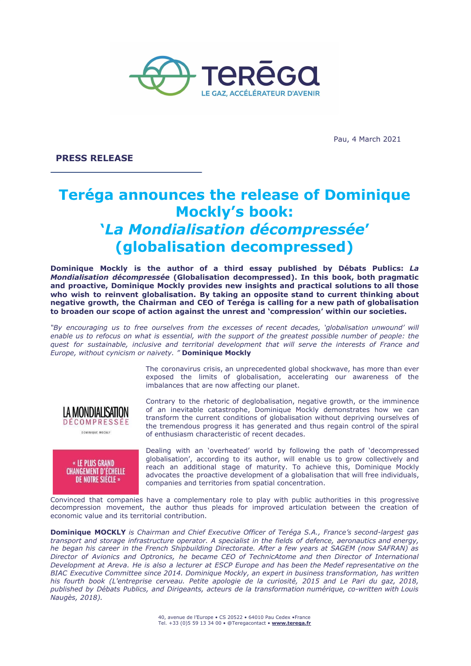

Pau, 4 March 2021

**PRESS RELEASE**

# **Teréga announces the release of Dominique Mockly's book: '***La Mondialisation décompressée***' (globalisation decompressed)**

**Dominique Mockly is the author of a third essay published by Débats Publics:** *La Mondialisation décompressée* **(Globalisation decompressed). In this book, both pragmatic and proactive, Dominique Mockly provides new insights and practical solutions to all those who wish to reinvent globalisation. By taking an opposite stand to current thinking about negative growth, the Chairman and CEO of Teréga is calling for a new path of globalisation to broaden our scope of action against the unrest and 'compression' within our societies.**

*"By encouraging us to free ourselves from the excesses of recent decades, 'globalisation unwound' will* enable us to refocus on what is essential, with the support of the greatest possible number of people: the *quest for sustainable, inclusive and territorial development that will serve the interests of France and Europe, without cynicism or naivety. "* **Dominique Mockly**

> The coronavirus crisis, an unprecedented global shockwave, has more than ever exposed the limits of globalisation, accelerating our awareness of the imbalances that are now affecting our planet.



**DOMINIQUE MOCKLY** 

« LE PLUS GRAND **CHANGEMENT D'ÉCHELLE DE NOTRE SIÈCLE »** 

Contrary to the rhetoric of deglobalisation, negative growth, or the imminence of an inevitable catastrophe, Dominique Mockly demonstrates how we can transform the current conditions of globalisation without depriving ourselves of the tremendous progress it has generated and thus regain control of the spiral of enthusiasm characteristic of recent decades.

Dealing with an 'overheated' world by following the path of 'decompressed globalisation', according to its author, will enable us to grow collectively and reach an additional stage of maturity. To achieve this, Dominique Mockly advocates the proactive development of a globalisation that will free individuals, companies and territories from spatial concentration.

Convinced that companies have a complementary role to play with public authorities in this progressive decompression movement, the author thus pleads for improved articulation between the creation of economic value and its territorial contribution.

**Dominique MOCKLY** *is Chairman and Chief Executive Officer of Teréga S.A., France's second-largest gas transport and storage infrastructure operator. A specialist in the fields of defence, aeronautics and energy,* he began his career in the French Shipbuilding Directorate. After a few years at SAGEM (now SAFRAN) as *Director of Avionics and Optronics, he became CEO of TechnicAtome and then Director of International* Development at Areva. He is also a lecturer at ESCP Europe and has been the Medef representative on the *BIAC Executive Committee since 2014. Dominique Mockly, an expert in business transformation, has written his fourth book (L'entreprise cerveau. Petite apologie de la curiosité, 2015 and Le Pari du gaz, 2018, published by Débats Publics, and Dirigeants, acteurs de la transformation numérique, co-written with Louis Naugès, 2018).*